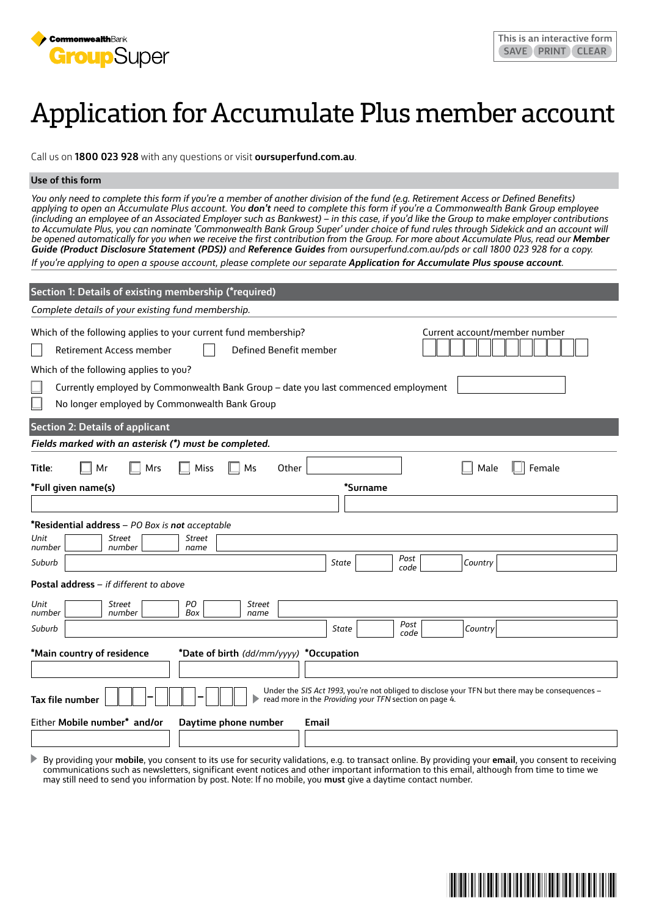

# Application for Accumulate Plus member account

Call us on **1800 023 928** with any questions or visit **oursuperfund.com.au**.

#### **Use of this form**

*You only need to complete this form if you're a member of another division of the fund (e.g. Retirement Access or Defined Benefits) applying to open an Accumulate Plus account. You don't need to complete this form if you're a Commonwealth Bank Group employee (including an employee of an Associated Employer such as Bankwest) – in this case, if you'd like the Group to make employer contributions to Accumulate Plus, you can nominate 'Commonwealth Bank Group Super' under choice of fund rules through Sidekick and an account will be opened automatically for you when we receive the first contribution from the Group. For more about Accumulate Plus, read our Member Guide (Product Disclosure Statement (PDS)) and Reference Guides from oursuperfund.com.au/pds or call 1800 023 928 for a copy.*

*If you're applying to open a spouse account, please complete our separate Application for Accumulate Plus spouse account.*

| Section 1: Details of existing membership (*required)                                                                                                                                                                                                                                                  |              |                                                        |                                                                                                 |
|--------------------------------------------------------------------------------------------------------------------------------------------------------------------------------------------------------------------------------------------------------------------------------------------------------|--------------|--------------------------------------------------------|-------------------------------------------------------------------------------------------------|
| Complete details of your existing fund membership.                                                                                                                                                                                                                                                     |              |                                                        |                                                                                                 |
| Which of the following applies to your current fund membership?<br>Defined Benefit member<br>Retirement Access member<br>Which of the following applies to you?<br>Currently employed by Commonwealth Bank Group - date you last commenced employment<br>No longer employed by Commonwealth Bank Group |              |                                                        | Current account/member number                                                                   |
| <b>Section 2: Details of applicant</b><br>Fields marked with an asterisk (*) must be completed.                                                                                                                                                                                                        |              |                                                        |                                                                                                 |
| Mr<br>Mrs<br>Title:<br>Miss<br>Ms<br>Other<br>*Full given name(s)                                                                                                                                                                                                                                      |              | *Surname                                               | Female<br>Male                                                                                  |
|                                                                                                                                                                                                                                                                                                        |              |                                                        |                                                                                                 |
| *Residential address - PO Box is not acceptable<br>Unit<br>Street<br>Street<br>number<br>number<br>name                                                                                                                                                                                                |              |                                                        |                                                                                                 |
| Suburb                                                                                                                                                                                                                                                                                                 | <b>State</b> | Post<br>code                                           | Country                                                                                         |
| Postal address - if different to above<br>PO<br>Unit<br><b>Street</b><br><b>Street</b>                                                                                                                                                                                                                 |              |                                                        |                                                                                                 |
| Box<br>number<br>number<br>name<br>Suburb                                                                                                                                                                                                                                                              | State        | Post<br>code                                           | Country                                                                                         |
| *Main country of residence<br>*Date of birth (dd/mm/yyyy) *Occupation                                                                                                                                                                                                                                  |              |                                                        |                                                                                                 |
| Tax file number<br>Either Mobile number* and/or<br>Daytime phone number                                                                                                                                                                                                                                | Email        | read more in the Providing your TFN section on page 4. | Under the SIS Act 1993, you're not obliged to disclose your TFN but there may be consequences - |
|                                                                                                                                                                                                                                                                                                        |              |                                                        |                                                                                                 |
|                                                                                                                                                                                                                                                                                                        |              |                                                        |                                                                                                 |

By providing your **mobile**, you consent to its use for security validations, e.g. to transact online. By providing your **email**, you consent to receiving communications such as newsletters, significant event notices and other important information to this email, although from time to time we may still need to send you information by post. Note: If no mobile, you **must** give a daytime contact number.

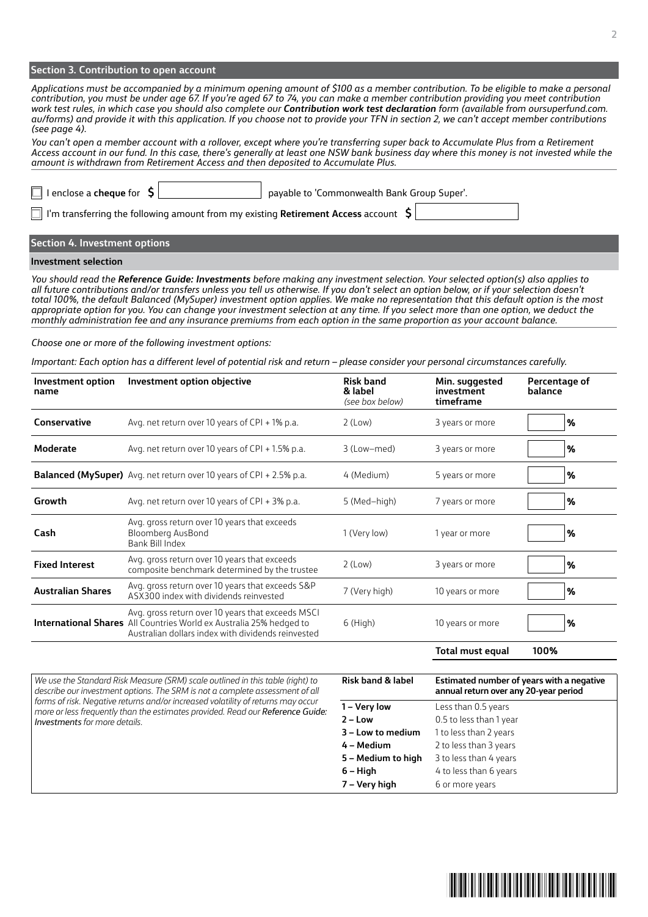#### **Section 3. Contribution to open account**

*Applications must be accompanied by a minimum opening amount of \$100 as a member contribution. To be eligible to make a personal contribution, you must be under age 67. If you're aged 67 to 74, you can make a member contribution providing you meet contribution work test rules, in which case you should also complete our Contribution work test declaration form (available from oursuperfund.com. au/forms) and provide it with this application. If you choose not to provide your TFN in section 2, we can't accept member contributions (see page 4).* 

*You can't open a member account with a rollover, except where you're transferring super back to Accumulate Plus from a Retirement Access account in our fund. In this case, there's generally at least one NSW bank business day where this money is not invested while the amount is withdrawn from Retirement Access and then deposited to Accumulate Plus.*

I'm transferring the following amount from my existing **Retirement Access** account **\$**

I enclose a **cheque** for  $\left| \begin{array}{c} 2 \end{array} \right|$  payable to 'Commonwealth Bank Group Super'.

#### **Section 4. Investment options**

#### **Investment selection**

*You should read the Reference Guide: Investments before making any investment selection. Your selected option(s) also applies to all future contributions and/or transfers unless you tell us otherwise. If you don't select an option below, or if your selection doesn't total 100%, the default Balanced (MySuper) investment option applies. We make no representation that this default option is the most appropriate option for you. You can change your investment selection at any time. If you select more than one option, we deduct the monthly administration fee and any insurance premiums from each option in the same proportion as your account balance.*

#### *Choose one or more of the following investment options:*

*Important: Each option has a different level of potential risk and return – please consider your personal circumstances carefully.*

| Investment option<br>name | Investment option objective                                                                                                                                                           | <b>Risk band</b><br>& label<br>(see box below) | Min. suggested<br>investment<br>timeframe | Percentage of<br>balance |
|---------------------------|---------------------------------------------------------------------------------------------------------------------------------------------------------------------------------------|------------------------------------------------|-------------------------------------------|--------------------------|
| Conservative              | Avg. net return over 10 years of CPI + 1% p.a.                                                                                                                                        | $2$ (Low)                                      | 3 years or more                           | %                        |
| Moderate                  | Avg. net return over 10 years of CPI + 1.5% p.a.                                                                                                                                      | 3 (Low-med)                                    | 3 years or more                           | %                        |
|                           | <b>Balanced (MySuper)</b> Avg. net return over 10 years of CPI + 2.5% p.a.                                                                                                            | 4 (Medium)                                     | 5 years or more                           | %                        |
| Growth                    | Avg. net return over 10 years of CPI + 3% p.a.                                                                                                                                        | 5 (Med-high)                                   | 7 years or more                           | %                        |
| Cash                      | Avg. gross return over 10 years that exceeds<br>Bloomberg AusBond<br>Bank Bill Index                                                                                                  | 1 (Very low)                                   | 1 year or more                            | %                        |
| <b>Fixed Interest</b>     | Avg. gross return over 10 years that exceeds<br>composite benchmark determined by the trustee                                                                                         | $2$ (Low)                                      | 3 years or more                           | %                        |
| <b>Australian Shares</b>  | Avg. gross return over 10 years that exceeds S&P<br>ASX300 index with dividends reinvested                                                                                            | 7 (Very high)                                  | 10 years or more                          | %                        |
|                           | Avg. gross return over 10 years that exceeds MSCI<br><b>International Shares</b> All Countries World ex Australia 25% hedged to<br>Australian dollars index with dividends reinvested | $6$ (High)                                     | 10 years or more                          | %                        |
|                           |                                                                                                                                                                                       |                                                | Total must equal                          | 100%                     |

*We use the Standard Risk Measure (SRM) scale outlined in this table (right) to describe our investment options. The SRM is not a complete assessment of all forms of risk. Negative returns and/or increased volatility of returns may occur more or less frequently than the estimates provided. Read our Reference Guide: Investments for more details.*

| <b>Risk band &amp; label</b> | Estimated number of years with a negative<br>annual return over any 20-year period |
|------------------------------|------------------------------------------------------------------------------------|
| 1 – Very low                 | Less than 0.5 years                                                                |
| 2 – Low                      | 0.5 to less than 1 year                                                            |
| 3 – Low to medium            | 1 to less than 2 years                                                             |
| 4 – Medium                   | 2 to less than 3 years                                                             |
| 5 – Medium to high           | 3 to less than 4 years                                                             |
| 6 – High                     | 4 to less than 6 years                                                             |
| 7 – Very high                | 6 or more years                                                                    |

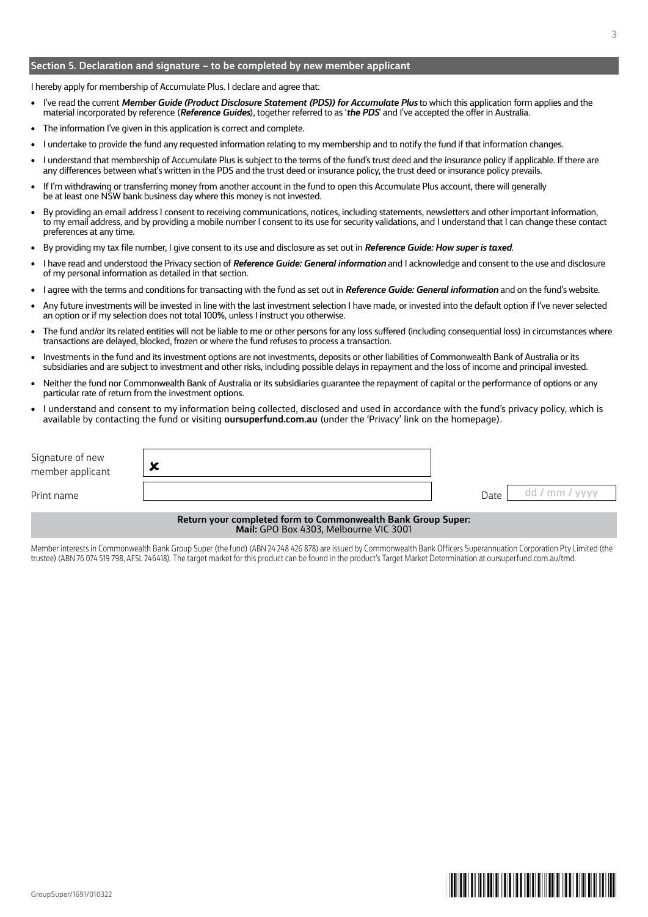#### **Section 5. Declaration and signature – to be completed by new member applicant**

I hereby apply for membership of Accumulate Plus. I declare and agree that:

- I've read the current *Member Guide (Product Disclosure Statement (PDS)) for Accumulate Plus* to which this application form applies and the material incorporated by reference (*Reference Guides*), together referred to as '*the PDS*' and I've accepted the offer in Australia.
- The information I've given in this application is correct and complete.
- I undertake to provide the fund any requested information relating to my membership and to notify the fund if that information changes.
- I understand that membership of Accumulate Plus is subject to the terms of the fund's trust deed and the insurance policy if applicable. If there are any differences between what's written in the PDS and the trust deed or insurance policy, the trust deed or insurance policy prevails.
- If I'm withdrawing or transferring money from another account in the fund to open this Accumulate Plus account, there will generally be at least one NSW bank business day where this money is not invested.
- By providing an email address I consent to receiving communications, notices, including statements, newsletters and other important information, to my email address, and by providing a mobile number I consent to its use for security validations, and I understand that I can change these contact preferences at any time.
- By providing my tax file number, I give consent to its use and disclosure as set out in *Reference Guide: How super is taxed*.
- I have read and understood the Privacy section of *Reference Guide: General information* and I acknowledge and consent to the use and disclosure of my personal information as detailed in that section.
- I agree with the terms and conditions for transacting with the fund as set out in *Reference Guide: General information* and on the fund's website.
- Any future investments will be invested in line with the last investment selection I have made, or invested into the default option if I've never selected an option or if my selection does not total 100%, unless I instruct you otherwise.
- The fund and/or its related entities will not be liable to me or other persons for any loss suffered (including consequential loss) in circumstances where transactions are delayed, blocked, frozen or where the fund refuses to process a transaction.
- Investments in the fund and its investment options are not investments, deposits or other liabilities of Commonwealth Bank of Australia or its subsidiaries and are subject to investment and other risks, including possible delays in repayment and the loss of income and principal invested.
- Neither the fund nor Commonwealth Bank of Australia or its subsidiaries guarantee the repayment of capital or the performance of options or any particular rate of return from the investment options.
- I understand and consent to my information being collected, disclosed and used in accordance with the fund's privacy policy, which is available by contacting the fund or visiting **oursuperfund.com.au** (under the 'Privacy' link on the homepage).

| Signature of new<br>member applicant | 灬 |      |    |
|--------------------------------------|---|------|----|
| Print name                           |   | Date | mm |

**Return your completed form to Commonwealth Bank Group Super: Mail:** GPO Box 4303, Melbourne VIC 3001

Member interests in Commonwealth Bank Group Super (the fund) (ABN 24 248 426 878) are issued by Commonwealth Bank Officers Superannuation Corporation Pty Limited (the trustee) (ABN 76 074 519 798, AFSL 246418). The target market for this product can be found in the product's Target Market Determination at oursuperfund.com.au/tmd.